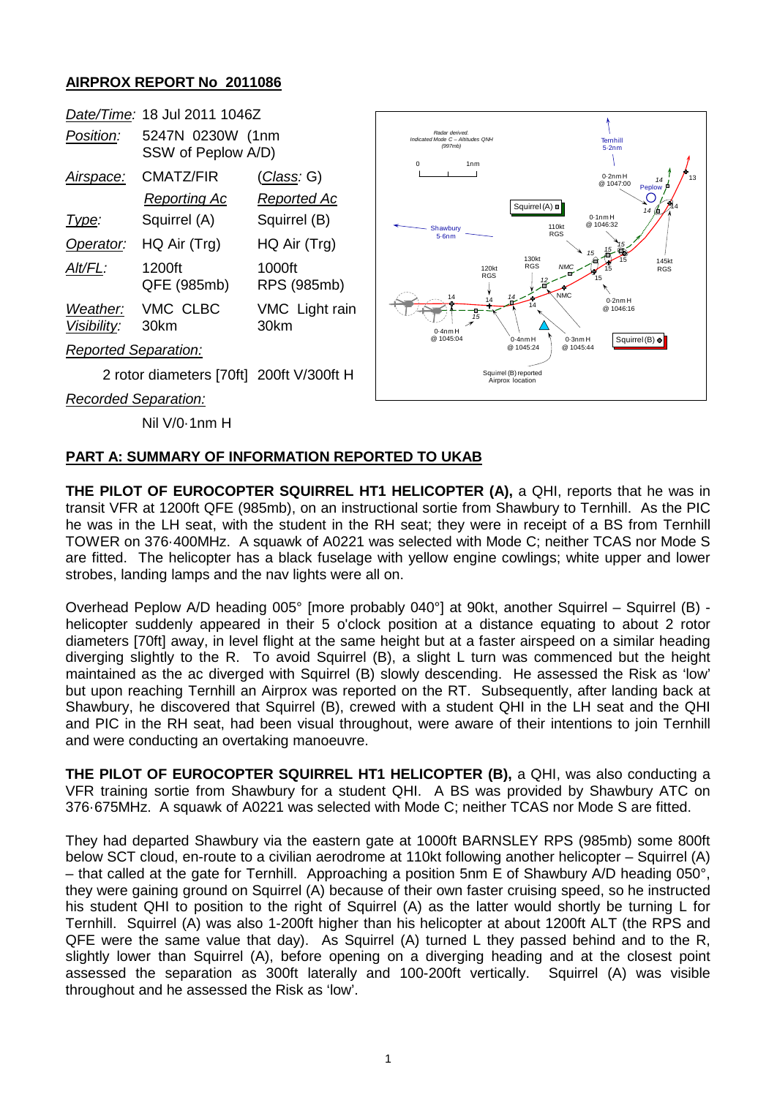## **AIRPROX REPORT No 2011086**

|                             | Date/Time: 18 Jul 2011 1046Z           |                        |                         |
|-----------------------------|----------------------------------------|------------------------|-------------------------|
| Position:                   | 5247N 0230W (1nm<br>SSW of Peplow A/D) |                        | Indicated M<br>$\Omega$ |
| Airspace:                   | CMATZ/FIR                              | (Class: G)             |                         |
|                             | <b>Reporting Ac</b>                    | Reported Ac            |                         |
| Type:                       | Squirrel (A)                           | Squirrel (B)           | <b>SF</b>               |
| Operator:                   | HQ Air (Trg)                           | HQ Air (Trg)           |                         |
| Alt/FL:                     | 1200ft<br>QFE (985mb)                  | 1000ft<br>RPS (985mb)  |                         |
| Weather:<br>Visibility:     | VMC CLBC<br>30km                       | VMC Light rain<br>30km |                         |
| <b>Reported Separation:</b> |                                        |                        |                         |

2 rotor diameters [70ft] 200ft V/300ft H

*Recorded Separation:*

Nil V/0·1nm H



## **PART A: SUMMARY OF INFORMATION REPORTED TO UKAB**

**THE PILOT OF EUROCOPTER SQUIRREL HT1 HELICOPTER (A),** a QHI, reports that he was in transit VFR at 1200ft QFE (985mb), on an instructional sortie from Shawbury to Ternhill. As the PIC he was in the LH seat, with the student in the RH seat; they were in receipt of a BS from Ternhill TOWER on 376·400MHz. A squawk of A0221 was selected with Mode C; neither TCAS nor Mode S are fitted. The helicopter has a black fuselage with yellow engine cowlings; white upper and lower strobes, landing lamps and the nav lights were all on.

Overhead Peplow A/D heading 005° [more probably 040°] at 90kt, another Squirrel – Squirrel (B) helicopter suddenly appeared in their 5 o'clock position at a distance equating to about 2 rotor diameters [70ft] away, in level flight at the same height but at a faster airspeed on a similar heading diverging slightly to the R. To avoid Squirrel (B), a slight L turn was commenced but the height maintained as the ac diverged with Squirrel (B) slowly descending. He assessed the Risk as 'low' but upon reaching Ternhill an Airprox was reported on the RT. Subsequently, after landing back at Shawbury, he discovered that Squirrel (B), crewed with a student QHI in the LH seat and the QHI and PIC in the RH seat, had been visual throughout, were aware of their intentions to join Ternhill and were conducting an overtaking manoeuvre.

**THE PILOT OF EUROCOPTER SQUIRREL HT1 HELICOPTER (B),** a QHI, was also conducting a VFR training sortie from Shawbury for a student QHI. A BS was provided by Shawbury ATC on 376·675MHz. A squawk of A0221 was selected with Mode C; neither TCAS nor Mode S are fitted.

They had departed Shawbury via the eastern gate at 1000ft BARNSLEY RPS (985mb) some 800ft below SCT cloud, en-route to a civilian aerodrome at 110kt following another helicopter – Squirrel (A) – that called at the gate for Ternhill. Approaching a position 5nm E of Shawbury A/D heading 050°, they were gaining ground on Squirrel (A) because of their own faster cruising speed, so he instructed his student QHI to position to the right of Squirrel (A) as the latter would shortly be turning L for Ternhill. Squirrel (A) was also 1-200ft higher than his helicopter at about 1200ft ALT (the RPS and QFE were the same value that day). As Squirrel (A) turned L they passed behind and to the R, slightly lower than Squirrel (A), before opening on a diverging heading and at the closest point assessed the separation as 300ft laterally and 100-200ft vertically. Squirrel (A) was visible throughout and he assessed the Risk as 'low'.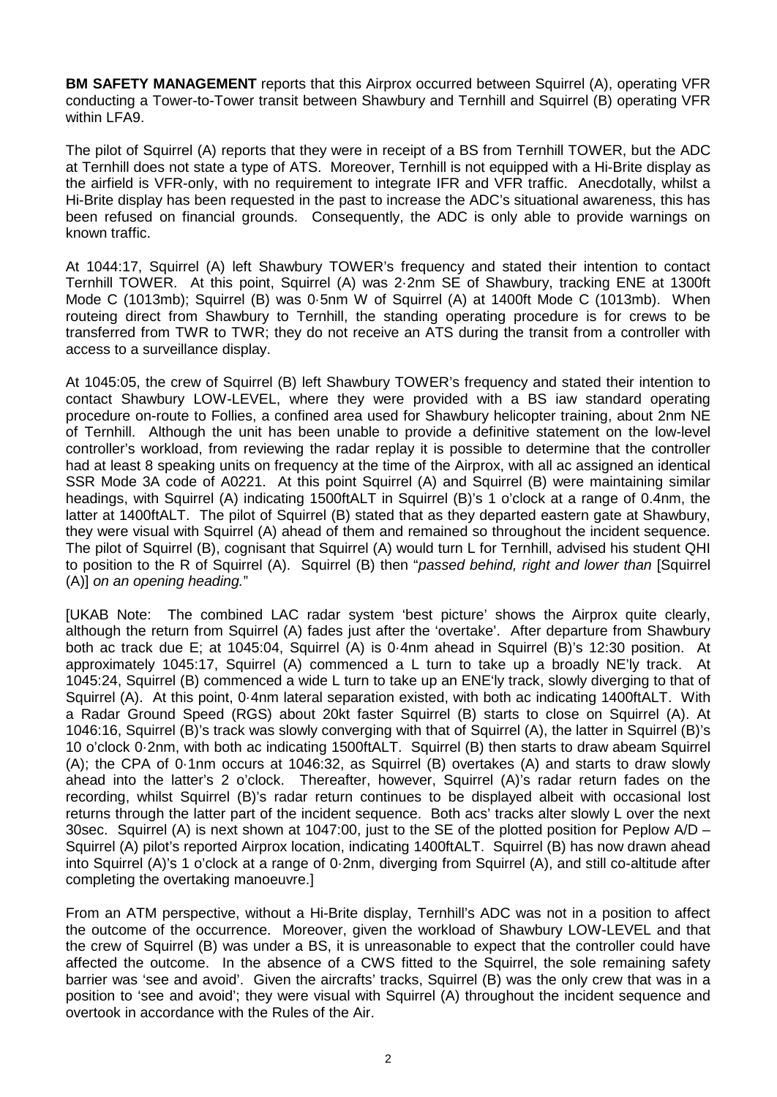**BM SAFETY MANAGEMENT** reports that this Airprox occurred between Squirrel (A), operating VFR conducting a Tower-to-Tower transit between Shawbury and Ternhill and Squirrel (B) operating VFR within LFA9.

The pilot of Squirrel (A) reports that they were in receipt of a BS from Ternhill TOWER, but the ADC at Ternhill does not state a type of ATS. Moreover, Ternhill is not equipped with a Hi-Brite display as the airfield is VFR-only, with no requirement to integrate IFR and VFR traffic. Anecdotally, whilst a Hi-Brite display has been requested in the past to increase the ADC's situational awareness, this has been refused on financial grounds. Consequently, the ADC is only able to provide warnings on known traffic.

At 1044:17, Squirrel (A) left Shawbury TOWER's frequency and stated their intention to contact Ternhill TOWER. At this point, Squirrel (A) was 2·2nm SE of Shawbury, tracking ENE at 1300ft Mode C (1013mb); Squirrel (B) was 0·5nm W of Squirrel (A) at 1400ft Mode C (1013mb). When routeing direct from Shawbury to Ternhill, the standing operating procedure is for crews to be transferred from TWR to TWR; they do not receive an ATS during the transit from a controller with access to a surveillance display.

At 1045:05, the crew of Squirrel (B) left Shawbury TOWER's frequency and stated their intention to contact Shawbury LOW-LEVEL, where they were provided with a BS iaw standard operating procedure on-route to Follies, a confined area used for Shawbury helicopter training, about 2nm NE of Ternhill. Although the unit has been unable to provide a definitive statement on the low-level controller's workload, from reviewing the radar replay it is possible to determine that the controller had at least 8 speaking units on frequency at the time of the Airprox, with all ac assigned an identical SSR Mode 3A code of A0221. At this point Squirrel (A) and Squirrel (B) were maintaining similar headings, with Squirrel (A) indicating 1500ftALT in Squirrel (B)'s 1 o'clock at a range of 0.4nm, the latter at 1400ftALT. The pilot of Squirrel (B) stated that as they departed eastern gate at Shawbury, they were visual with Squirrel (A) ahead of them and remained so throughout the incident sequence. The pilot of Squirrel (B), cognisant that Squirrel (A) would turn L for Ternhill, advised his student QHI to position to the R of Squirrel (A). Squirrel (B) then "*passed behind, right and lower than* [Squirrel (A)] *on an opening heading.*"

[UKAB Note: The combined LAC radar system 'best picture' shows the Airprox quite clearly, although the return from Squirrel (A) fades just after the 'overtake'. After departure from Shawbury both ac track due E; at 1045:04, Squirrel (A) is 0·4nm ahead in Squirrel (B)'s 12:30 position. At approximately 1045:17, Squirrel (A) commenced a L turn to take up a broadly NE'ly track. At 1045:24, Squirrel (B) commenced a wide L turn to take up an ENE'ly track, slowly diverging to that of Squirrel (A). At this point, 0·4nm lateral separation existed, with both ac indicating 1400ftALT. With a Radar Ground Speed (RGS) about 20kt faster Squirrel (B) starts to close on Squirrel (A). At 1046:16, Squirrel (B)'s track was slowly converging with that of Squirrel (A), the latter in Squirrel (B)'s 10 o'clock 0·2nm, with both ac indicating 1500ftALT. Squirrel (B) then starts to draw abeam Squirrel (A); the CPA of 0·1nm occurs at 1046:32, as Squirrel (B) overtakes (A) and starts to draw slowly ahead into the latter's 2 o'clock. Thereafter, however, Squirrel (A)'s radar return fades on the recording, whilst Squirrel (B)'s radar return continues to be displayed albeit with occasional lost returns through the latter part of the incident sequence. Both acs' tracks alter slowly L over the next 30sec. Squirrel (A) is next shown at 1047:00, just to the SE of the plotted position for Peplow A/D – Squirrel (A) pilot's reported Airprox location, indicating 1400ftALT. Squirrel (B) has now drawn ahead into Squirrel (A)'s 1 o'clock at a range of 0·2nm, diverging from Squirrel (A), and still co-altitude after completing the overtaking manoeuvre.]

From an ATM perspective, without a Hi-Brite display, Ternhill's ADC was not in a position to affect the outcome of the occurrence. Moreover, given the workload of Shawbury LOW-LEVEL and that the crew of Squirrel (B) was under a BS, it is unreasonable to expect that the controller could have affected the outcome. In the absence of a CWS fitted to the Squirrel, the sole remaining safety barrier was 'see and avoid'. Given the aircrafts' tracks, Squirrel (B) was the only crew that was in a position to 'see and avoid'; they were visual with Squirrel (A) throughout the incident sequence and overtook in accordance with the Rules of the Air.